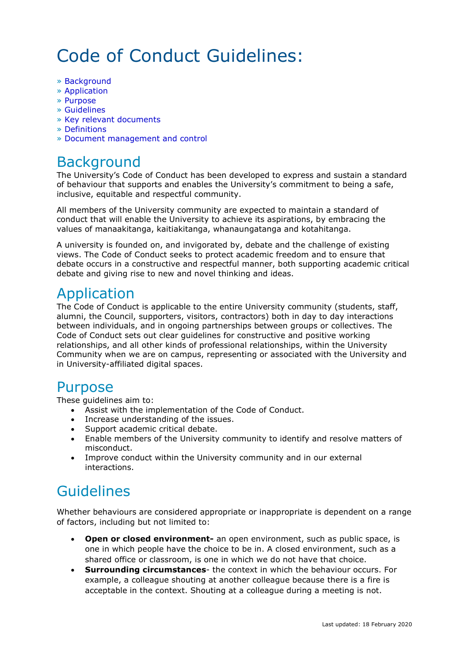# Code of Conduct Guidelines:

- » Background
- » Application
- » Purpose
- » Guidelines
- » Key relevant documents
- » Definitions
- » Document management and control

## Background

The University's Code of Conduct has been developed to express and sustain a standard of behaviour that supports and enables the University's commitment to being a safe, inclusive, equitable and respectful community.

All members of the University community are expected to maintain a standard of conduct that will enable the University to achieve its aspirations, by embracing the values of manaakitanga, kaitiakitanga, whanaungatanga and kotahitanga.

A university is founded on, and invigorated by, debate and the challenge of existing views. The Code of Conduct seeks to protect academic freedom and to ensure that debate occurs in a constructive and respectful manner, both supporting academic critical debate and giving rise to new and novel thinking and ideas.

## Application

The Code of Conduct is applicable to the entire University community (students, staff, alumni, the Council, supporters, visitors, contractors) both in day to day interactions between individuals, and in ongoing partnerships between groups or collectives. The Code of Conduct sets out clear guidelines for constructive and positive working relationships, and all other kinds of professional relationships, within the University Community when we are on campus, representing or associated with the University and in University-affiliated digital spaces.

### Purpose

These guidelines aim to:

- Assist with the implementation of the Code of Conduct.
- Increase understanding of the issues.
- Support academic critical debate.
- Enable members of the University community to identify and resolve matters of misconduct.
- Improve conduct within the University community and in our external interactions.

## Guidelines

Whether behaviours are considered appropriate or inappropriate is dependent on a range of factors, including but not limited to:

- **Open or closed environment-** an open environment, such as public space, is one in which people have the choice to be in. A closed environment, such as a shared office or classroom, is one in which we do not have that choice.
- **Surrounding circumstances** the context in which the behaviour occurs. For example, a colleague shouting at another colleague because there is a fire is acceptable in the context. Shouting at a colleague during a meeting is not.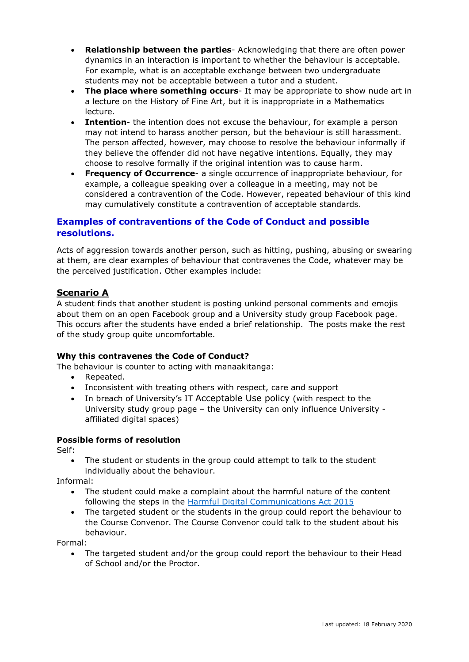- **Relationship between the parties** Acknowledging that there are often power dynamics in an interaction is important to whether the behaviour is acceptable. For example, what is an acceptable exchange between two undergraduate students may not be acceptable between a tutor and a student.
- **The place where something occurs** It may be appropriate to show nude art in a lecture on the History of Fine Art, but it is inappropriate in a Mathematics lecture.
- **Intention** the intention does not excuse the behaviour, for example a person may not intend to harass another person, but the behaviour is still harassment. The person affected, however, may choose to resolve the behaviour informally if they believe the offender did not have negative intentions. Equally, they may choose to resolve formally if the original intention was to cause harm.
- **Frequency of Occurrence** a single occurrence of inappropriate behaviour, for example, a colleague speaking over a colleague in a meeting, may not be considered a contravention of the Code. However, repeated behaviour of this kind may cumulatively constitute a contravention of acceptable standards.

#### **Examples of contraventions of the Code of Conduct and possible resolutions.**

Acts of aggression towards another person, such as hitting, pushing, abusing or swearing at them, are clear examples of behaviour that contravenes the Code, whatever may be the perceived justification. Other examples include:

#### **Scenario A**

A student finds that another student is posting unkind personal comments and emojis about them on an open Facebook group and a University study group Facebook page. This occurs after the students have ended a brief relationship. The posts make the rest of the study group quite uncomfortable.

#### **Why this contravenes the Code of Conduct?**

The behaviour is counter to acting with manaakitanga:

- Repeated.
- Inconsistent with treating others with respect, care and support
- In breach of University's IT Acceptable Use policy (with respect to the University study group page – the University can only influence University affiliated digital spaces)

#### **Possible forms of resolution**

Self:

• The student or students in the group could attempt to talk to the student individually about the behaviour.

Informal:

- The student could make a complaint about the harmful nature of the content following the steps in the [Harmful Digital Communications Act 2015](https://www.justice.govt.nz/justice-sector-policy/key-initiatives/harmful-digital-communications/)
- The targeted student or the students in the group could report the behaviour to the Course Convenor. The Course Convenor could talk to the student about his behaviour.

Formal:

• The targeted student and/or the group could report the behaviour to their Head of School and/or the Proctor.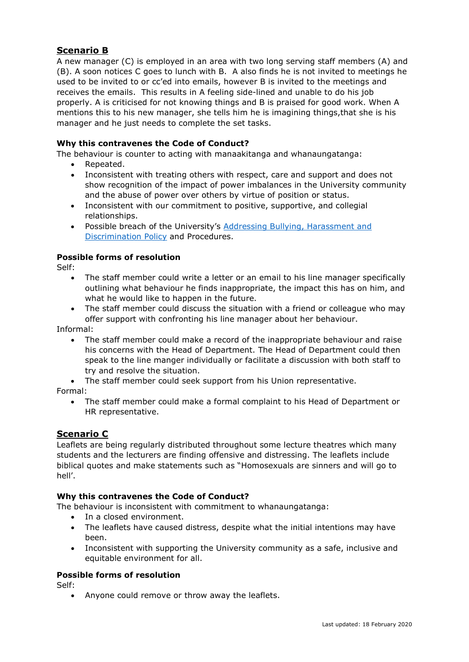#### **Scenario B**

A new manager (C) is employed in an area with two long serving staff members (A) and (B). A soon notices C goes to lunch with B. A also finds he is not invited to meetings he used to be invited to or cc'ed into emails, however B is invited to the meetings and receives the emails. This results in A feeling side-lined and unable to do his job properly. A is criticised for not knowing things and B is praised for good work. When A mentions this to his new manager, she tells him he is imagining things,that she is his manager and he just needs to complete the set tasks.

#### **Why this contravenes the Code of Conduct?**

The behaviour is counter to acting with manaakitanga and whanaungatanga:

- Repeated.
- Inconsistent with treating others with respect, care and support and does not show recognition of the impact of power imbalances in the University community and the abuse of power over others by virtue of position or status.
- Inconsistent with our commitment to positive, supportive, and collegial relationships.
- Possible breach of the University's [Addressing Bullying, Harassment and](https://www.auckland.ac.nz/en/about/the-university/how-university-works/policy-and-administration/human-resources1/employer-and-employee-responsibilities/prevention-of-bullying--harassment-and-discrimination-policy-and.html)  [Discrimination Policy](https://www.auckland.ac.nz/en/about/the-university/how-university-works/policy-and-administration/human-resources1/employer-and-employee-responsibilities/prevention-of-bullying--harassment-and-discrimination-policy-and.html) and Procedures.

#### **Possible forms of resolution**

Self:

- The staff member could write a letter or an email to his line manager specifically outlining what behaviour he finds inappropriate, the impact this has on him, and what he would like to happen in the future.
- The staff member could discuss the situation with a friend or colleague who may offer support with confronting his line manager about her behaviour.

Informal:

- The staff member could make a record of the inappropriate behaviour and raise his concerns with the Head of Department. The Head of Department could then speak to the line manger individually or facilitate a discussion with both staff to try and resolve the situation.
- The staff member could seek support from his Union representative.

Formal:

• The staff member could make a formal complaint to his Head of Department or HR representative.

#### **Scenario C**

Leaflets are being regularly distributed throughout some lecture theatres which many students and the lecturers are finding offensive and distressing. The leaflets include biblical quotes and make statements such as "Homosexuals are sinners and will go to hell'.

#### **Why this contravenes the Code of Conduct?**

The behaviour is inconsistent with commitment to whanaungatanga:

- In a closed environment.
- The leaflets have caused distress, despite what the initial intentions may have been.
- Inconsistent with supporting the University community as a safe, inclusive and equitable environment for all.

#### **Possible forms of resolution**

Self:

• Anyone could remove or throw away the leaflets.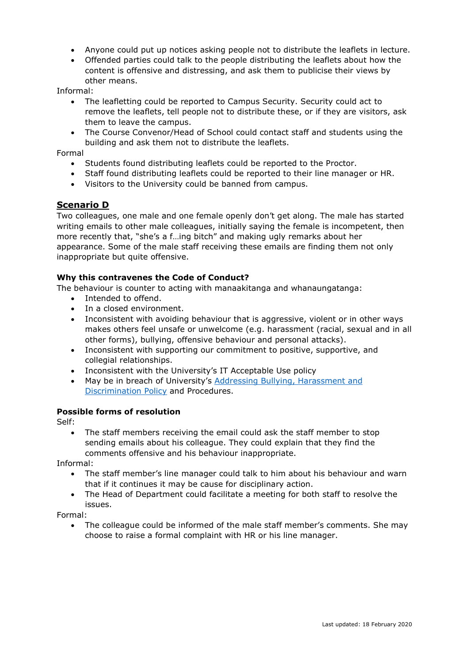- Anyone could put up notices asking people not to distribute the leaflets in lecture.
- Offended parties could talk to the people distributing the leaflets about how the content is offensive and distressing, and ask them to publicise their views by other means.

Informal:

- The leafletting could be reported to Campus Security. Security could act to remove the leaflets, tell people not to distribute these, or if they are visitors, ask them to leave the campus.
- The Course Convenor/Head of School could contact staff and students using the building and ask them not to distribute the leaflets.

Formal

- Students found distributing leaflets could be reported to the Proctor.
- Staff found distributing leaflets could be reported to their line manager or HR.
- Visitors to the University could be banned from campus.

#### **Scenario D**

Two colleagues, one male and one female openly don't get along. The male has started writing emails to other male colleagues, initially saying the female is incompetent, then more recently that, "she's a f…ing bitch" and making ugly remarks about her appearance. Some of the male staff receiving these emails are finding them not only inappropriate but quite offensive.

#### **Why this contravenes the Code of Conduct?**

The behaviour is counter to acting with manaakitanga and whanaungatanga:

- Intended to offend.
- In a closed environment.
- Inconsistent with avoiding behaviour that is aggressive, violent or in other ways makes others feel unsafe or unwelcome (e.g. harassment (racial, sexual and in all other forms), bullying, offensive behaviour and personal attacks).
- Inconsistent with supporting our commitment to positive, supportive, and collegial relationships.
- Inconsistent with the University's IT Acceptable Use policy
- May be in breach of University's [Addressing Bullying, Harassment and](https://www.auckland.ac.nz/en/about/the-university/how-university-works/policy-and-administration/human-resources1/employer-and-employee-responsibilities/prevention-of-bullying--harassment-and-discrimination-policy-and.html)  [Discrimination Policy](https://www.auckland.ac.nz/en/about/the-university/how-university-works/policy-and-administration/human-resources1/employer-and-employee-responsibilities/prevention-of-bullying--harassment-and-discrimination-policy-and.html) and Procedures.

#### **Possible forms of resolution**

Self:

• The staff members receiving the email could ask the staff member to stop sending emails about his colleague. They could explain that they find the comments offensive and his behaviour inappropriate.

Informal:

- The staff member's line manager could talk to him about his behaviour and warn that if it continues it may be cause for disciplinary action.
- The Head of Department could facilitate a meeting for both staff to resolve the issues.

Formal:

• The colleague could be informed of the male staff member's comments. She may choose to raise a formal complaint with HR or his line manager.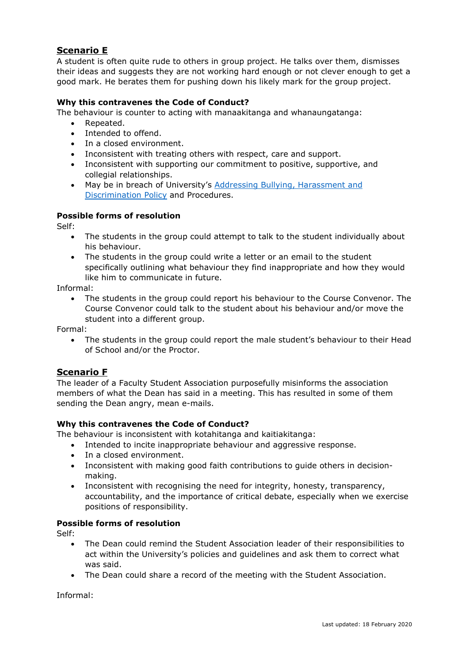#### **Scenario E**

A student is often quite rude to others in group project. He talks over them, dismisses their ideas and suggests they are not working hard enough or not clever enough to get a good mark. He berates them for pushing down his likely mark for the group project.

#### **Why this contravenes the Code of Conduct?**

The behaviour is counter to acting with manaakitanga and whanaungatanga:

- Repeated.
- Intended to offend.
- In a closed environment.
- Inconsistent with treating others with respect, care and support.
- Inconsistent with supporting our commitment to positive, supportive, and collegial relationships.
- May be in breach of University's [Addressing Bullying, Harassment and](https://www.auckland.ac.nz/en/about/the-university/how-university-works/policy-and-administration/human-resources1/employer-and-employee-responsibilities/prevention-of-bullying--harassment-and-discrimination-policy-and.html)  [Discrimination Policy](https://www.auckland.ac.nz/en/about/the-university/how-university-works/policy-and-administration/human-resources1/employer-and-employee-responsibilities/prevention-of-bullying--harassment-and-discrimination-policy-and.html) and Procedures.

#### **Possible forms of resolution**

Self:

- The students in the group could attempt to talk to the student individually about his behaviour.
- The students in the group could write a letter or an email to the student specifically outlining what behaviour they find inappropriate and how they would like him to communicate in future.

Informal:

The students in the group could report his behaviour to the Course Convenor. The Course Convenor could talk to the student about his behaviour and/or move the student into a different group.

Formal:

• The students in the group could report the male student's behaviour to their Head of School and/or the Proctor.

#### **Scenario F**

The leader of a Faculty Student Association purposefully misinforms the association members of what the Dean has said in a meeting. This has resulted in some of them sending the Dean angry, mean e-mails.

#### **Why this contravenes the Code of Conduct?**

The behaviour is inconsistent with kotahitanga and kaitiakitanga:

- Intended to incite inappropriate behaviour and aggressive response.
- In a closed environment.
- Inconsistent with making good faith contributions to guide others in decisionmaking.
- Inconsistent with recognising the need for integrity, honesty, transparency, accountability, and the importance of critical debate, especially when we exercise positions of responsibility.

#### **Possible forms of resolution**

Self:

- The Dean could remind the Student Association leader of their responsibilities to act within the University's policies and guidelines and ask them to correct what was said.
- The Dean could share a record of the meeting with the Student Association.

Informal: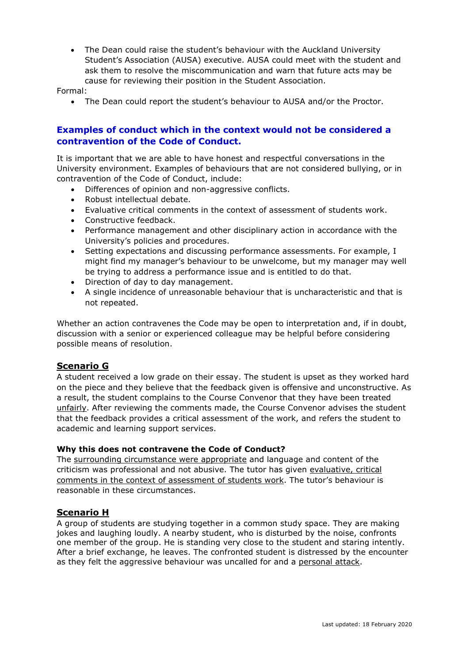• The Dean could raise the student's behaviour with the Auckland University Student's Association (AUSA) executive. AUSA could meet with the student and ask them to resolve the miscommunication and warn that future acts may be cause for reviewing their position in the Student Association.

Formal:

• The Dean could report the student's behaviour to AUSA and/or the Proctor.

#### **Examples of conduct which in the context would not be considered a contravention of the Code of Conduct.**

It is important that we are able to have honest and respectful conversations in the University environment. Examples of behaviours that are not considered bullying, or in contravention of the Code of Conduct, include:

- Differences of opinion and non-aggressive conflicts.
- Robust intellectual debate.
- Evaluative critical comments in the context of assessment of students work.
- Constructive feedback.
- Performance management and other disciplinary action in accordance with the University's policies and procedures.
- Setting expectations and discussing performance assessments. For example, I might find my manager's behaviour to be unwelcome, but my manager may well be trying to address a performance issue and is entitled to do that.
- Direction of day to day management.
- A single incidence of unreasonable behaviour that is uncharacteristic and that is not repeated.

Whether an action contravenes the Code may be open to interpretation and, if in doubt, discussion with a senior or experienced colleague may be helpful before considering possible means of resolution.

#### **Scenario G**

A student received a low grade on their essay. The student is upset as they worked hard on the piece and they believe that the feedback given is offensive and unconstructive. As a result, the student complains to the Course Convenor that they have been treated unfairly. After reviewing the comments made, the Course Convenor advises the student that the feedback provides a critical assessment of the work, and refers the student to academic and learning support services.

#### **Why this does not contravene the Code of Conduct?**

The surrounding circumstance were appropriate and language and content of the criticism was professional and not abusive. The tutor has given evaluative, critical comments in the context of assessment of students work. The tutor's behaviour is reasonable in these circumstances.

#### **Scenario H**

A group of students are studying together in a common study space. They are making jokes and laughing loudly. A nearby student, who is disturbed by the noise, confronts one member of the group. He is standing very close to the student and staring intently. After a brief exchange, he leaves. The confronted student is distressed by the encounter as they felt the aggressive behaviour was uncalled for and a personal attack.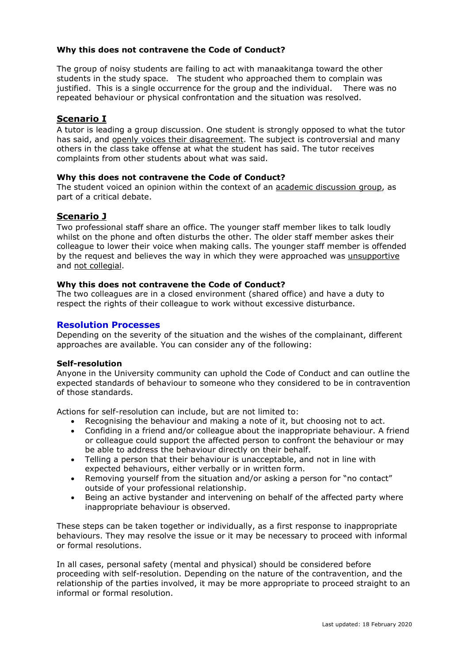#### **Why this does not contravene the Code of Conduct?**

The group of noisy students are failing to act with manaakitanga toward the other students in the study space. The student who approached them to complain was justified. This is a single occurrence for the group and the individual. There was no repeated behaviour or physical confrontation and the situation was resolved.

#### **Scenario I**

A tutor is leading a group discussion. One student is strongly opposed to what the tutor has said, and openly voices their disagreement. The subject is controversial and many others in the class take offense at what the student has said. The tutor receives complaints from other students about what was said.

#### **Why this does not contravene the Code of Conduct?**

The student voiced an opinion within the context of an academic discussion group, as part of a critical debate.

#### **Scenario J**

Two professional staff share an office. The younger staff member likes to talk loudly whilst on the phone and often disturbs the other. The older staff member askes their colleague to lower their voice when making calls. The younger staff member is offended by the request and believes the way in which they were approached was unsupportive and not collegial.

#### **Why this does not contravene the Code of Conduct?**

The two colleagues are in a closed environment (shared office) and have a duty to respect the rights of their colleague to work without excessive disturbance.

#### **Resolution Processes**

Depending on the severity of the situation and the wishes of the complainant, different approaches are available. You can consider any of the following:

#### **Self-resolution**

Anyone in the University community can uphold the Code of Conduct and can outline the expected standards of behaviour to someone who they considered to be in contravention of those standards.

Actions for self-resolution can include, but are not limited to:

- Recognising the behaviour and making a note of it, but choosing not to act.
- Confiding in a friend and/or colleague about the inappropriate behaviour. A friend or colleague could support the affected person to confront the behaviour or may be able to address the behaviour directly on their behalf.
- Telling a person that their behaviour is unacceptable, and not in line with expected behaviours, either verbally or in written form.
- Removing yourself from the situation and/or asking a person for "no contact" outside of your professional relationship.
- Being an active bystander and intervening on behalf of the affected party where inappropriate behaviour is observed.

These steps can be taken together or individually, as a first response to inappropriate behaviours. They may resolve the issue or it may be necessary to proceed with informal or formal resolutions.

In all cases, personal safety (mental and physical) should be considered before proceeding with self-resolution. Depending on the nature of the contravention, and the relationship of the parties involved, it may be more appropriate to proceed straight to an informal or formal resolution.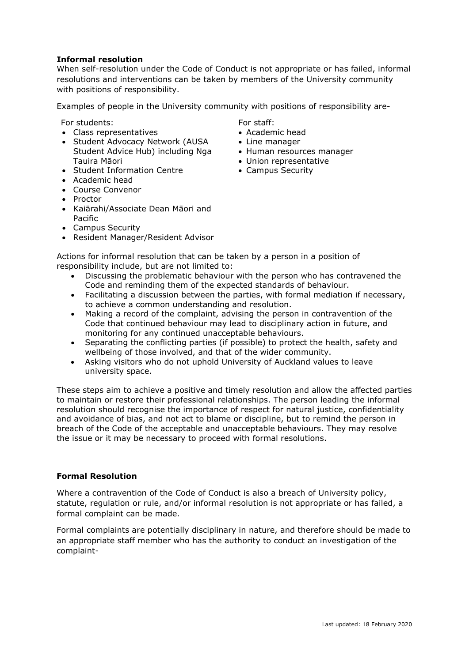#### **Informal resolution**

When self-resolution under the Code of Conduct is not appropriate or has failed, informal resolutions and interventions can be taken by members of the University community with positions of responsibility.

Examples of people in the University community with positions of responsibility are-

For students:

- Class representatives
- Student Advocacy Network (AUSA Student Advice Hub) including Nga Tauira Māori
- Student Information Centre
- Academic head
- Course Convenor
- Proctor
- Kaiārahi/Associate Dean Māori and Pacific
- Campus Security
- Resident Manager/Resident Advisor

For staff:

- Academic head
- Line manager
- Human resources manager
- Union representative
- Campus Security

- Actions for informal resolution that can be taken by a person in a position of responsibility include, but are not limited to:
	- Discussing the problematic behaviour with the person who has contravened the Code and reminding them of the expected standards of behaviour.
	- Facilitating a discussion between the parties, with formal mediation if necessary, to achieve a common understanding and resolution.
	- Making a record of the complaint, advising the person in contravention of the Code that continued behaviour may lead to disciplinary action in future, and monitoring for any continued unacceptable behaviours.
	- Separating the conflicting parties (if possible) to protect the health, safety and wellbeing of those involved, and that of the wider community.
	- Asking visitors who do not uphold University of Auckland values to leave university space.

These steps aim to achieve a positive and timely resolution and allow the affected parties to maintain or restore their professional relationships. The person leading the informal resolution should recognise the importance of respect for natural justice, confidentiality and avoidance of bias, and not act to blame or discipline, but to remind the person in breach of the Code of the acceptable and unacceptable behaviours. They may resolve the issue or it may be necessary to proceed with formal resolutions.

#### **Formal Resolution**

Where a contravention of the Code of Conduct is also a breach of University policy, statute, regulation or rule, and/or informal resolution is not appropriate or has failed, a formal complaint can be made.

Formal complaints are potentially disciplinary in nature, and therefore should be made to an appropriate staff member who has the authority to conduct an investigation of the complaint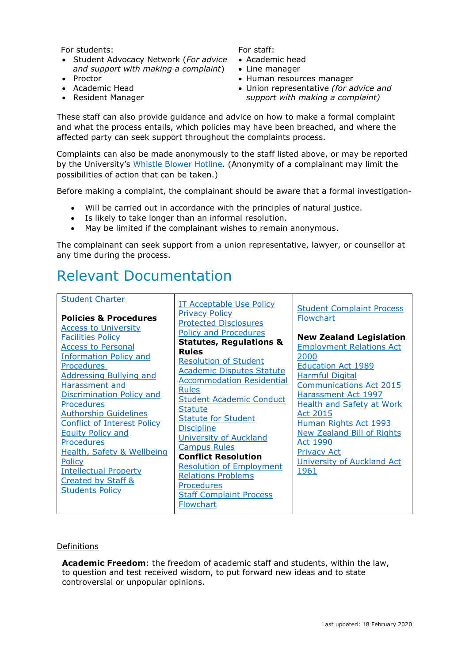For students:

- Student Advocacy Network (*For advice and support with making a complaint*)
- Proctor
- Academic Head
- Resident Manager

For staff:

- Academic head
- Line manager
- Human resources manager
- Union representative *(for advice and support with making a complaint)*

These staff can also provide guidance and advice on how to make a formal complaint and what the process entails, which policies may have been breached, and where the affected party can seek support throughout the complaints process.

Complaints can also be made anonymously to the staff listed above, or may be reported by the University's [Whistle Blower Hotline.](https://www.auckland.ac.nz/en/on-campus/student-support/whistleblower-hotline.html) (Anonymity of a complainant may limit the possibilities of action that can be taken.)

Before making a complaint, the complainant should be aware that a formal investigation-

- Will be carried out in accordance with the principles of natural justice.
- Is likely to take longer than an informal resolution.
- May be limited if the complainant wishes to remain anonymous.

The complainant can seek support from a union representative, lawyer, or counsellor at any time during the process.

## Relevant Documentation

#### Definitions

**Academic Freedom**: the freedom of academic staff and students, within the law, to question and test received wisdom, to put forward new ideas and to state controversial or unpopular opinions.